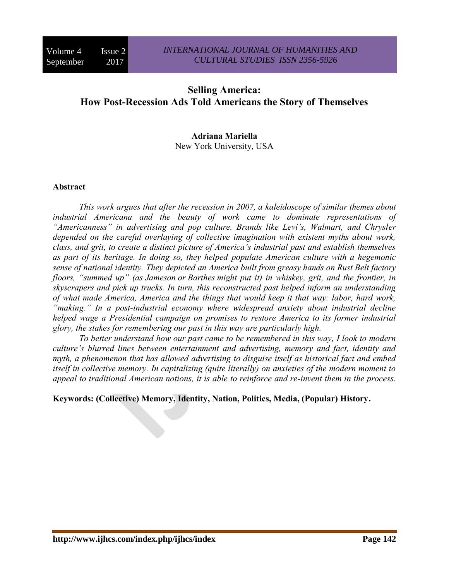# **Selling America: How Post-Recession Ads Told Americans the Story of Themselves**

## **Adriana Mariella** New York University, USA

#### **Abstract**

*This work argues that after the recession in 2007, a kaleidoscope of similar themes about industrial Americana and the beauty of work came to dominate representations of "Americanness" in advertising and pop culture. Brands like Levi's, Walmart, and Chrysler depended on the careful overlaying of collective imagination with existent myths about work, class, and grit, to create a distinct picture of America's industrial past and establish themselves as part of its heritage. In doing so, they helped populate American culture with a hegemonic sense of national identity. They depicted an America built from greasy hands on Rust Belt factory floors, "summed up" (as Jameson or Barthes might put it) in whiskey, grit, and the frontier, in skyscrapers and pick up trucks. In turn, this reconstructed past helped inform an understanding of what made America, America and the things that would keep it that way: labor, hard work, "making." In a post-industrial economy where widespread anxiety about industrial decline helped wage a Presidential campaign on promises to restore America to its former industrial glory, the stakes for remembering our past in this way are particularly high.* 

*To better understand how our past came to be remembered in this way, I look to modern culture's blurred lines between entertainment and advertising, memory and fact, identity and myth, a phenomenon that has allowed advertising to disguise itself as historical fact and embed itself in collective memory. In capitalizing (quite literally) on anxieties of the modern moment to appeal to traditional American notions, it is able to reinforce and re-invent them in the process.* 

**Keywords: (Collective) Memory, Identity, Nation, Politics, Media, (Popular) History.**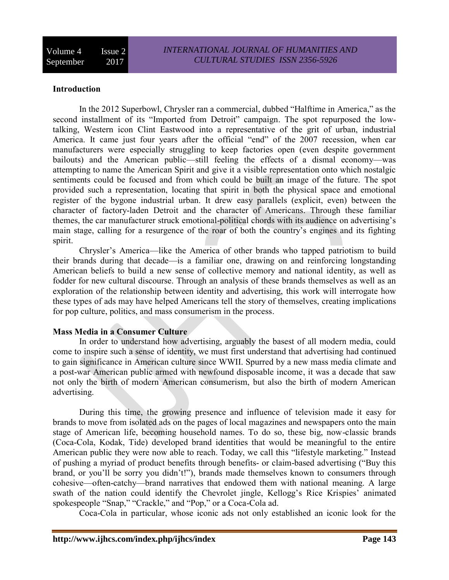## **Introduction**

In the 2012 Superbowl, Chrysler ran a commercial, dubbed "Halftime in America," as the second installment of its "Imported from Detroit" campaign. The spot repurposed the lowtalking, Western icon Clint Eastwood into a representative of the grit of urban, industrial America. It came just four years after the official "end" of the 2007 recession, when car manufacturers were especially struggling to keep factories open (even despite government bailouts) and the American public—still feeling the effects of a dismal economy—was attempting to name the American Spirit and give it a visible representation onto which nostalgic sentiments could be focused and from which could be built an image of the future. The spot provided such a representation, locating that spirit in both the physical space and emotional register of the bygone industrial urban. It drew easy parallels (explicit, even) between the character of factory-laden Detroit and the character of Americans. Through these familiar themes, the car manufacturer struck emotional-political chords with its audience on advertising's main stage, calling for a resurgence of the roar of both the country's engines and its fighting spirit.

Chrysler's America—like the America of other brands who tapped patriotism to build their brands during that decade—is a familiar one, drawing on and reinforcing longstanding American beliefs to build a new sense of collective memory and national identity, as well as fodder for new cultural discourse. Through an analysis of these brands themselves as well as an exploration of the relationship between identity and advertising, this work will interrogate how these types of ads may have helped Americans tell the story of themselves, creating implications for pop culture, politics, and mass consumerism in the process.

#### **Mass Media in a Consumer Culture**

In order to understand how advertising, arguably the basest of all modern media, could come to inspire such a sense of identity, we must first understand that advertising had continued to gain significance in American culture since WWII. Spurred by a new mass media climate and a post-war American public armed with newfound disposable income, it was a decade that saw not only the birth of modern American consumerism, but also the birth of modern American advertising.

During this time, the growing presence and influence of television made it easy for brands to move from isolated ads on the pages of local magazines and newspapers onto the main stage of American life, becoming household names. To do so, these big, now-classic brands (Coca-Cola, Kodak, Tide) developed brand identities that would be meaningful to the entire American public they were now able to reach. Today, we call this "lifestyle marketing." Instead of pushing a myriad of product benefits through benefits- or claim-based advertising ("Buy this brand, or you'll be sorry you didn't!"), brands made themselves known to consumers through cohesive—often-catchy—brand narratives that endowed them with national meaning. A large swath of the nation could identify the Chevrolet jingle, Kellogg's Rice Krispies' animated spokespeople "Snap," "Crackle," and "Pop," or a Coca-Cola ad.

Coca-Cola in particular, whose iconic ads not only established an iconic look for the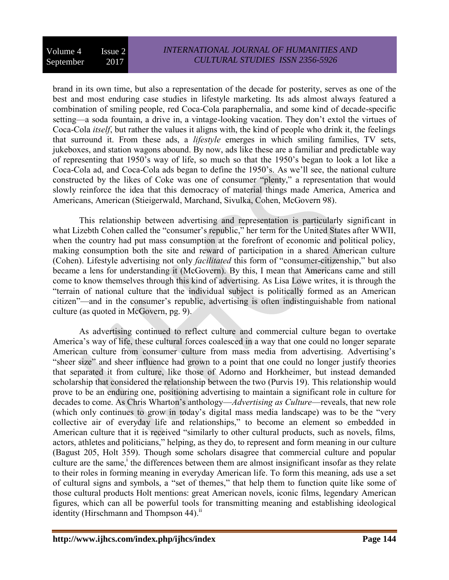brand in its own time, but also a representation of the decade for posterity, serves as one of the best and most enduring case studies in lifestyle marketing. Its ads almost always featured a combination of smiling people, red Coca-Cola paraphernalia, and some kind of decade-specific setting—a soda fountain, a drive in, a vintage-looking vacation. They don't extol the virtues of Coca-Cola *itself*, but rather the values it aligns with, the kind of people who drink it, the feelings that surround it. From these ads, a *lifestyle* emerges in which smiling families, TV sets, jukeboxes, and station wagons abound. By now, ads like these are a familiar and predictable way of representing that 1950's way of life, so much so that the 1950's began to look a lot like a Coca-Cola ad, and Coca-Cola ads began to define the 1950's. As we'll see, the national culture constructed by the likes of Coke was one of consumer "plenty," a representation that would slowly reinforce the idea that this democracy of material things made America, America and Americans, American (Stieigerwald, Marchand, Sivulka, Cohen, McGovern 98).

This relationship between advertising and representation is particularly significant in what Lizebth Cohen called the "consumer's republic," her term for the United States after WWII, when the country had put mass consumption at the forefront of economic and political policy, making consumption both the site and reward of participation in a shared American culture (Cohen). Lifestyle advertising not only *facilitated* this form of "consumer-citizenship," but also became a lens for understanding it (McGovern). By this, I mean that Americans came and still come to know themselves through this kind of advertising. As Lisa Lowe writes, it is through the "terrain of national culture that the individual subject is politically formed as an American citizen"—and in the consumer's republic, advertising is often indistinguishable from national culture (as quoted in McGovern, pg. 9).

As advertising continued to reflect culture and commercial culture began to overtake America's way of life, these cultural forces coalesced in a way that one could no longer separate American culture from consumer culture from mass media from advertising. Advertising's "sheer size" and sheer influence had grown to a point that one could no longer justify theories that separated it from culture, like those of Adorno and Horkheimer, but instead demanded scholarship that considered the relationship between the two (Purvis 19). This relationship would prove to be an enduring one, positioning advertising to maintain a significant role in culture for decades to come. As Chris Wharton's anthology—*Advertising as Culture*—reveals, that new role (which only continues to grow in today's digital mass media landscape) was to be the "very collective air of everyday life and relationships," to become an element so embedded in American culture that it is received "similarly to other cultural products, such as novels, films, actors, athletes and politicians," helping, as they do, to represent and form meaning in our culture (Bagust 205, Holt 359). Though some scholars disagree that commercial culture and popular culture are the same,<sup>i</sup> the differences between them are almost insignificant insofar as they relate to their roles in forming meaning in everyday American life. To form this meaning, ads use a set of cultural signs and symbols, a "set of themes," that help them to function quite like some of those cultural products Holt mentions: great American novels, iconic films, legendary American figures, which can all be powerful tools for transmitting meaning and establishing ideological identity (Hirschmann and Thompson  $44$ ).<sup>ii</sup>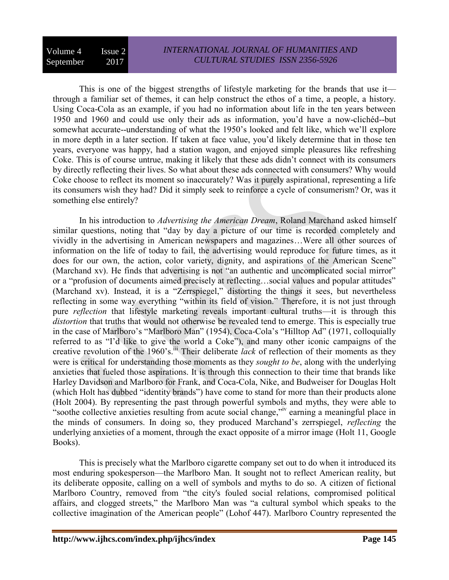This is one of the biggest strengths of lifestyle marketing for the brands that use it through a familiar set of themes, it can help construct the ethos of a time, a people, a history. Using Coca-Cola as an example, if you had no information about life in the ten years between 1950 and 1960 and could use only their ads as information, you'd have a now-clichéd--but somewhat accurate--understanding of what the 1950's looked and felt like, which we'll explore in more depth in a later section. If taken at face value, you'd likely determine that in those ten years, everyone was happy, had a station wagon, and enjoyed simple pleasures like refreshing Coke. This is of course untrue, making it likely that these ads didn't connect with its consumers by directly reflecting their lives. So what about these ads connected with consumers? Why would Coke choose to reflect its moment so inaccurately? Was it purely aspirational, representing a life its consumers wish they had? Did it simply seek to reinforce a cycle of consumerism? Or, was it something else entirely?

In his introduction to *Advertising the American Dream*, Roland Marchand asked himself similar questions, noting that "day by day a picture of our time is recorded completely and vividly in the advertising in American newspapers and magazines…Were all other sources of information on the life of today to fail, the advertising would reproduce for future times, as it does for our own, the action, color variety, dignity, and aspirations of the American Scene" (Marchand xv). He finds that advertising is not "an authentic and uncomplicated social mirror" or a "profusion of documents aimed precisely at reflecting…social values and popular attitudes" (Marchand xv). Instead, it is a "Zerrspiegel," distorting the things it sees, but nevertheless reflecting in some way everything "within its field of vision." Therefore, it is not just through pure *reflection* that lifestyle marketing reveals important cultural truths—it is through this *distortion* that truths that would not otherwise be revealed tend to emerge. This is especially true in the case of Marlboro's "Marlboro Man" (1954), Coca-Cola's "Hilltop Ad" (1971, colloquially referred to as "I'd like to give the world a Coke"), and many other iconic campaigns of the creative revolution of the 1960's.<sup>iii</sup> Their deliberate *lack* of reflection of their moments as they were is critical for understanding those moments as they *sought to be*, along with the underlying anxieties that fueled those aspirations. It is through this connection to their time that brands like Harley Davidson and Marlboro for Frank, and Coca-Cola, Nike, and Budweiser for Douglas Holt (which Holt has dubbed "identity brands") have come to stand for more than their products alone (Holt 2004). By representing the past through powerful symbols and myths, they were able to "soothe collective anxieties resulting from acute social change,"<sup>iv</sup> earning a meaningful place in the minds of consumers. In doing so, they produced Marchand's zerrspiegel, *reflecting* the underlying anxieties of a moment, through the exact opposite of a mirror image (Holt 11, Google Books).

This is precisely what the Marlboro cigarette company set out to do when it introduced its most enduring spokesperson—the Marlboro Man. It sought not to reflect American reality, but its deliberate opposite, calling on a well of symbols and myths to do so. A citizen of fictional Marlboro Country, removed from "the city's fouled social relations, compromised political affairs, and clogged streets," the Marlboro Man was "a cultural symbol which speaks to the collective imagination of the American people" (Lohof 447). Marlboro Country represented the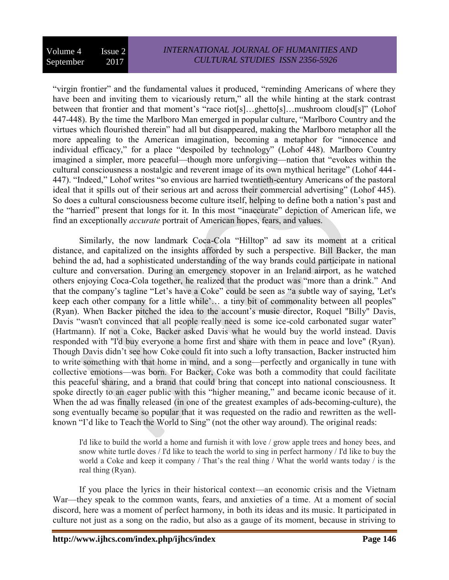"virgin frontier" and the fundamental values it produced, "reminding Americans of where they have been and inviting them to vicariously return," all the while hinting at the stark contrast between that frontier and that moment's "race riot[s]…ghetto[s]…mushroom cloud[s]" (Lohof 447-448). By the time the Marlboro Man emerged in popular culture, "Marlboro Country and the virtues which flourished therein" had all but disappeared, making the Marlboro metaphor all the more appealing to the American imagination, becoming a metaphor for "innocence and individual efficacy," for a place "despoiled by technology" (Lohof 448). Marlboro Country imagined a simpler, more peaceful—though more unforgiving—nation that "evokes within the cultural consciousness a nostalgic and reverent image of its own mythical heritage" (Lohof 444- 447). "Indeed," Lohof writes "so envious are harried twentieth-century Americans of the pastoral ideal that it spills out of their serious art and across their commercial advertising" (Lohof 445). So does a cultural consciousness become culture itself, helping to define both a nation's past and the "harried" present that longs for it. In this most "inaccurate" depiction of American life, we find an exceptionally *accurate* portrait of American hopes, fears, and values.

Similarly, the now landmark Coca-Cola "Hilltop" ad saw its moment at a critical distance, and capitalized on the insights afforded by such a perspective. Bill Backer, the man behind the ad, had a sophisticated understanding of the way brands could participate in national culture and conversation. During an emergency stopover in an Ireland airport, as he watched others enjoying Coca-Cola together, he realized that the product was "more than a drink." And that the company's tagline "Let's have a Coke" could be seen as "a subtle way of saying, 'Let's keep each other company for a little while'… a tiny bit of commonality between all peoples" (Ryan). When Backer pitched the idea to the account's music director, Roquel "Billy" Davis, Davis "wasn't convinced that all people really need is some ice-cold carbonated sugar water" (Hartmann). If not a Coke, Backer asked Davis what he would buy the world instead. Davis responded with "I'd buy everyone a home first and share with them in peace and love" (Ryan). Though Davis didn't see how Coke could fit into such a lofty transaction, Backer instructed him to write something with that home in mind, and a song—perfectly and organically in tune with collective emotions—was born. For Backer, Coke was both a commodity that could facilitate this peaceful sharing, and a brand that could bring that concept into national consciousness. It spoke directly to an eager public with this "higher meaning," and became iconic because of it. When the ad was finally released (in one of the greatest examples of ads-becoming-culture), the song eventually became so popular that it was requested on the radio and rewritten as the wellknown "I'd like to Teach the World to Sing" (not the other way around). The original reads:

I'd like to build the world a home and furnish it with love / grow apple trees and honey bees, and snow white turtle doves / I'd like to teach the world to sing in perfect harmony / I'd like to buy the world a Coke and keep it company / That's the real thing / What the world wants today / is the real thing (Ryan).

If you place the lyrics in their historical context—an economic crisis and the Vietnam War—they speak to the common wants, fears, and anxieties of a time. At a moment of social discord, here was a moment of perfect harmony, in both its ideas and its music. It participated in culture not just as a song on the radio, but also as a gauge of its moment, because in striving to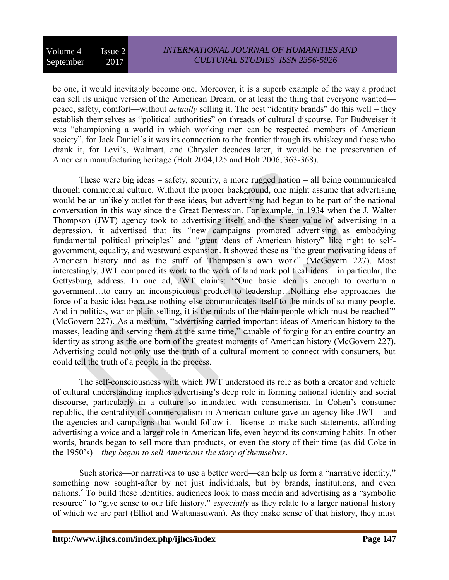be one, it would inevitably become one. Moreover, it is a superb example of the way a product can sell its unique version of the American Dream, or at least the thing that everyone wanted peace, safety, comfort—without *actually* selling it. The best "identity brands" do this well – they establish themselves as "political authorities" on threads of cultural discourse. For Budweiser it was "championing a world in which working men can be respected members of American society", for Jack Daniel's it was its connection to the frontier through its whiskey and those who drank it, for Levi's, Walmart, and Chrysler decades later, it would be the preservation of American manufacturing heritage (Holt 2004,125 and Holt 2006, 363-368).

These were big ideas – safety, security, a more rugged nation – all being communicated through commercial culture. Without the proper background, one might assume that advertising would be an unlikely outlet for these ideas, but advertising had begun to be part of the national conversation in this way since the Great Depression. For example, in 1934 when the J. Walter Thompson (JWT) agency took to advertising itself and the sheer value of advertising in a depression, it advertised that its "new campaigns promoted advertising as embodying fundamental political principles" and "great ideas of American history" like right to selfgovernment, equality, and westward expansion. It showed these as "the great motivating ideas of American history and as the stuff of Thompson's own work" (McGovern 227). Most interestingly, JWT compared its work to the work of landmark political ideas—in particular, the Gettysburg address. In one ad, JWT claims: '"One basic idea is enough to overturn a government…to carry an inconspicuous product to leadership…Nothing else approaches the force of a basic idea because nothing else communicates itself to the minds of so many people. And in politics, war or plain selling, it is the minds of the plain people which must be reached'" (McGovern 227). As a medium, "advertising carried important ideas of American history to the masses, leading and serving them at the same time," capable of forging for an entire country an identity as strong as the one born of the greatest moments of American history (McGovern 227). Advertising could not only use the truth of a cultural moment to connect with consumers, but could tell the truth of a people in the process.

The self-consciousness with which JWT understood its role as both a creator and vehicle of cultural understanding implies advertising's deep role in forming national identity and social discourse, particularly in a culture so inundated with consumerism. In Cohen's consumer republic, the centrality of commercialism in American culture gave an agency like JWT—and the agencies and campaigns that would follow it—license to make such statements, affording advertising a voice and a larger role in American life, even beyond its consuming habits. In other words, brands began to sell more than products, or even the story of their time (as did Coke in the 1950's) – *they began to sell Americans the story of themselves*.

Such stories—or narratives to use a better word—can help us form a "narrative identity," something now sought-after by not just individuals, but by brands, institutions, and even nations.<sup>v</sup> To build these identities, audiences look to mass media and advertising as a "symbolic resource" to "give sense to our life history," *especially* as they relate to a larger national history of which we are part (Elliot and Wattanasuwan). As they make sense of that history, they must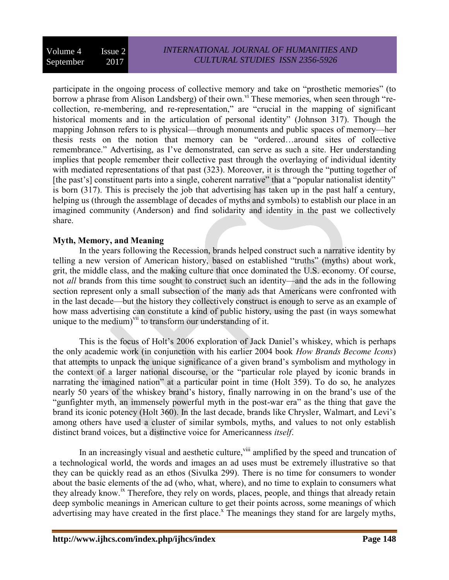participate in the ongoing process of collective memory and take on "prosthetic memories" (to borrow a phrase from Alison Landsberg) of their own.<sup>vi</sup> These memories, when seen through "recollection, re-membering, and re-representation," are "crucial in the mapping of significant historical moments and in the articulation of personal identity" (Johnson 317). Though the mapping Johnson refers to is physical—through monuments and public spaces of memory—her thesis rests on the notion that memory can be "ordered…around sites of collective remembrance." Advertising, as I've demonstrated, can serve as such a site. Her understanding implies that people remember their collective past through the overlaying of individual identity with mediated representations of that past (323). Moreover, it is through the "putting together of [the past's] constituent parts into a single, coherent narrative" that a "popular nationalist identity" is born (317). This is precisely the job that advertising has taken up in the past half a century, helping us (through the assemblage of decades of myths and symbols) to establish our place in an imagined community (Anderson) and find solidarity and identity in the past we collectively share.

## **Myth, Memory, and Meaning**

In the years following the Recession, brands helped construct such a narrative identity by telling a new version of American history, based on established "truths" (myths) about work, grit, the middle class, and the making culture that once dominated the U.S. economy. Of course, not *all* brands from this time sought to construct such an identity—and the ads in the following section represent only a small subsection of the many ads that Americans were confronted with in the last decade—but the history they collectively construct is enough to serve as an example of how mass advertising can constitute a kind of public history, using the past (in ways somewhat unique to the medium)<sup>vii</sup> to transform our understanding of it.

This is the focus of Holt's 2006 exploration of Jack Daniel's whiskey, which is perhaps the only academic work (in conjunction with his earlier 2004 book *How Brands Become Icons*) that attempts to unpack the unique significance of a given brand's symbolism and mythology in the context of a larger national discourse, or the "particular role played by iconic brands in narrating the imagined nation" at a particular point in time (Holt 359). To do so, he analyzes nearly 50 years of the whiskey brand's history, finally narrowing in on the brand's use of the "gunfighter myth, an immensely powerful myth in the post-war era" as the thing that gave the brand its iconic potency (Holt 360). In the last decade, brands like Chrysler, Walmart, and Levi's among others have used a cluster of similar symbols, myths, and values to not only establish distinct brand voices, but a distinctive voice for Americanness *itself*.

In an increasingly visual and aesthetic culture, <sup>viii</sup> amplified by the speed and truncation of a technological world, the words and images an ad uses must be extremely illustrative so that they can be quickly read as an ethos (Sivulka 299). There is no time for consumers to wonder about the basic elements of the ad (who, what, where), and no time to explain to consumers what they already know.<sup>ix</sup> Therefore, they rely on words, places, people, and things that already retain deep symbolic meanings in American culture to get their points across, some meanings of which advertising may have created in the first place.<sup> $x$ </sup> The meanings they stand for are largely myths,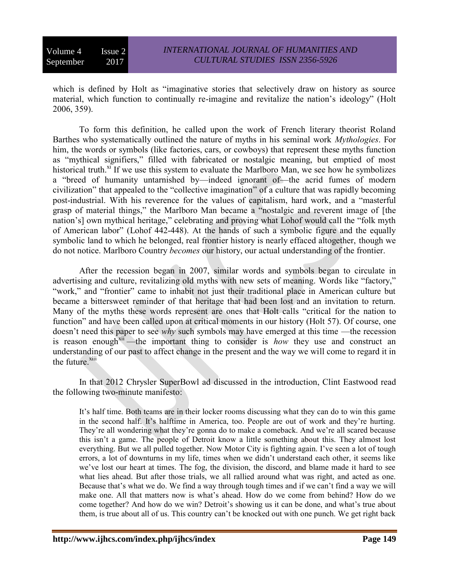which is defined by Holt as "imaginative stories that selectively draw on history as source material, which function to continually re-imagine and revitalize the nation's ideology" (Holt 2006, 359).

To form this definition, he called upon the work of French literary theorist Roland Barthes who systematically outlined the nature of myths in his seminal work *Mythologies*. For him, the words or symbols (like factories, cars, or cowboys) that represent these myths function as "mythical signifiers," filled with fabricated or nostalgic meaning, but emptied of most historical truth. $^{\text{xi}}$  If we use this system to evaluate the Marlboro Man, we see how he symbolizes a "breed of humanity untarnished by—indeed ignorant of—the acrid fumes of modern civilization" that appealed to the "collective imagination" of a culture that was rapidly becoming post-industrial. With his reverence for the values of capitalism, hard work, and a "masterful grasp of material things," the Marlboro Man became a "nostalgic and reverent image of [the nation's] own mythical heritage," celebrating and proving what Lohof would call the "folk myth of American labor" (Lohof 442-448). At the hands of such a symbolic figure and the equally symbolic land to which he belonged, real frontier history is nearly effaced altogether, though we do not notice. Marlboro Country *becomes* our history, our actual understanding of the frontier.

After the recession began in 2007, similar words and symbols began to circulate in advertising and culture, revitalizing old myths with new sets of meaning. Words like "factory," "work," and "frontier" came to inhabit not just their traditional place in American culture but became a bittersweet reminder of that heritage that had been lost and an invitation to return. Many of the myths these words represent are ones that Holt calls "critical for the nation to function" and have been called upon at critical moments in our history (Holt 57). Of course, one doesn't need this paper to see *why* such symbols may have emerged at this time —the recession is reason enough<sup>xii</sup>—the important thing to consider is *how* they use and construct an understanding of our past to affect change in the present and the way we will come to regard it in the future.<sup>xiii</sup>

In that 2012 Chrysler SuperBowl ad discussed in the introduction, Clint Eastwood read the following two-minute manifesto:

It's half time. Both teams are in their locker rooms discussing what they can do to win this game in the second half. It's halftime in America, too. People are out of work and they're hurting. They're all wondering what they're gonna do to make a comeback. And we're all scared because this isn't a game. The people of Detroit know a little something about this. They almost lost everything. But we all pulled together. Now Motor City is fighting again. I've seen a lot of tough errors, a lot of downturns in my life, times when we didn't understand each other, it seems like we've lost our heart at times. The fog, the division, the discord, and blame made it hard to see what lies ahead. But after those trials, we all rallied around what was right, and acted as one. Because that's what we do. We find a way through tough times and if we can't find a way we will make one. All that matters now is what's ahead. How do we come from behind? How do we come together? And how do we win? Detroit's showing us it can be done, and what's true about them, is true about all of us. This country can't be knocked out with one punch. We get right back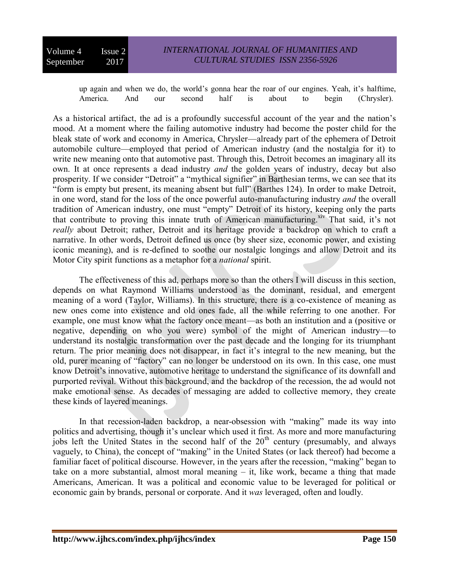up again and when we do, the world's gonna hear the roar of our engines. Yeah, it's halftime, America. And our second half is about to begin (Chrysler).

As a historical artifact, the ad is a profoundly successful account of the year and the nation's mood. At a moment where the failing automotive industry had become the poster child for the bleak state of work and economy in America, Chrysler—already part of the ephemera of Detroit automobile culture—employed that period of American industry (and the nostalgia for it) to write new meaning onto that automotive past. Through this, Detroit becomes an imaginary all its own. It at once represents a dead industry *and* the golden years of industry, decay but also prosperity. If we consider "Detroit" a "mythical signifier" in Barthesian terms, we can see that its "form is empty but present, its meaning absent but full" (Barthes 124). In order to make Detroit, in one word, stand for the loss of the once powerful auto-manufacturing industry *and* the overall tradition of American industry, one must "empty" Detroit of its history, keeping only the parts that contribute to proving this innate truth of American manufacturing.<sup>xiv</sup> That said, it's not *really* about Detroit; rather, Detroit and its heritage provide a backdrop on which to craft a narrative. In other words, Detroit defined us once (by sheer size, economic power, and existing iconic meaning), and is re-defined to soothe our nostalgic longings and allow Detroit and its Motor City spirit functions as a metaphor for a *national* spirit.

The effectiveness of this ad, perhaps more so than the others I will discuss in this section, depends on what Raymond Williams understood as the dominant, residual, and emergent meaning of a word (Taylor, Williams). In this structure, there is a co-existence of meaning as new ones come into existence and old ones fade, all the while referring to one another. For example, one must know what the factory once meant—as both an institution and a (positive or negative, depending on who you were) symbol of the might of American industry—to understand its nostalgic transformation over the past decade and the longing for its triumphant return. The prior meaning does not disappear, in fact it's integral to the new meaning, but the old, purer meaning of "factory" can no longer be understood on its own. In this case, one must know Detroit's innovative, automotive heritage to understand the significance of its downfall and purported revival. Without this background, and the backdrop of the recession, the ad would not make emotional sense. As decades of messaging are added to collective memory, they create these kinds of layered meanings.

In that recession-laden backdrop, a near-obsession with "making" made its way into politics and advertising, though it's unclear which used it first. As more and more manufacturing jobs left the United States in the second half of the  $20<sup>th</sup>$  century (presumably, and always vaguely, to China), the concept of "making" in the United States (or lack thereof) had become a familiar facet of political discourse. However, in the years after the recession, "making" began to take on a more substantial, almost moral meaning – it, like work, became a thing that made Americans, American. It was a political and economic value to be leveraged for political or economic gain by brands, personal or corporate. And it *was* leveraged, often and loudly.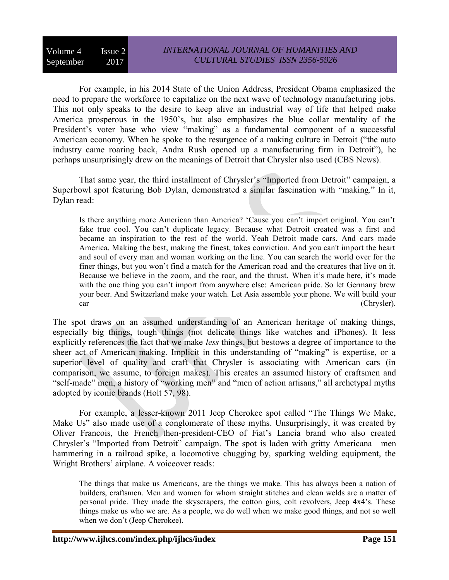For example, in his 2014 State of the Union Address, President Obama emphasized the need to prepare the workforce to capitalize on the next wave of technology manufacturing jobs. This not only speaks to the desire to keep alive an industrial way of life that helped make America prosperous in the 1950's, but also emphasizes the blue collar mentality of the President's voter base who view "making" as a fundamental component of a successful American economy. When he spoke to the resurgence of a making culture in Detroit ("the auto industry came roaring back, Andra Rush opened up a manufacturing firm in Detroit"), he perhaps unsurprisingly drew on the meanings of Detroit that Chrysler also used (CBS News).

That same year, the third installment of Chrysler's "Imported from Detroit" campaign, a Superbowl spot featuring Bob Dylan, demonstrated a similar fascination with "making." In it, Dylan read:

Is there anything more American than America? 'Cause you can't import original. You can't fake true cool. You can't duplicate legacy. Because what Detroit created was a first and became an inspiration to the rest of the world. Yeah Detroit made cars. And cars made America. Making the best, making the finest, takes conviction. And you can't import the heart and soul of every man and woman working on the line. You can search the world over for the finer things, but you won't find a match for the American road and the creatures that live on it. Because we believe in the zoom, and the roar, and the thrust. When it's made here, it's made with the one thing you can't import from anywhere else: American pride. So let Germany brew your beer. And Switzerland make your watch. Let Asia assemble your phone. We will build your car (Chrysler).

The spot draws on an assumed understanding of an American heritage of making things, especially big things, tough things (not delicate things like watches and iPhones). It less explicitly references the fact that we make *less* things, but bestows a degree of importance to the sheer act of American making. Implicit in this understanding of "making" is expertise, or a superior level of quality and craft that Chrysler is associating with American cars (in comparison, we assume, to foreign makes). This creates an assumed history of craftsmen and "self-made" men, a history of "working men" and "men of action artisans," all archetypal myths adopted by iconic brands (Holt 57, 98).

For example, a lesser-known 2011 Jeep Cherokee spot called "The Things We Make, Make Us" also made use of a conglomerate of these myths. Unsurprisingly, it was created by Oliver Francois, the French then-president-CEO of Fiat's Lancia brand who also created Chrysler's "Imported from Detroit" campaign. The spot is laden with gritty Americana—men hammering in a railroad spike, a locomotive chugging by, sparking welding equipment, the Wright Brothers' airplane. A voiceover reads:

The things that make us Americans, are the things we make. This has always been a nation of builders, craftsmen. Men and women for whom straight stitches and clean welds are a matter of personal pride. They made the skyscrapers, the cotton gins, colt revolvers, Jeep 4x4's. These things make us who we are. As a people, we do well when we make good things, and not so well when we don't (Jeep Cherokee).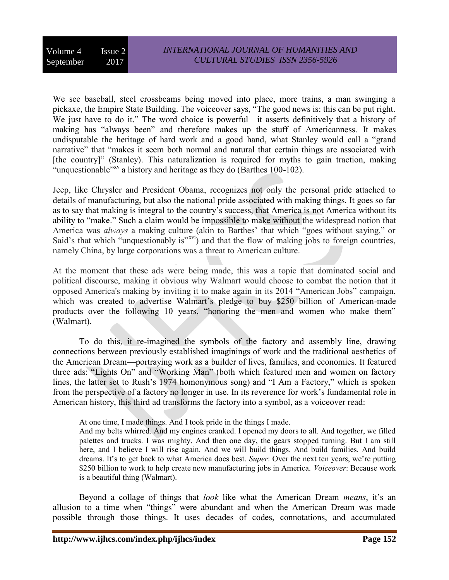We see baseball, steel crossbeams being moved into place, more trains, a man swinging a pickaxe, the Empire State Building. The voiceover says, "The good news is: this can be put right. We just have to do it." The word choice is powerful—it asserts definitively that a history of making has "always been" and therefore makes up the stuff of Americanness. It makes undisputable the heritage of hard work and a good hand, what Stanley would call a "grand narrative" that "makes it seem both normal and natural that certain things are associated with [the country]" (Stanley). This naturalization is required for myths to gain traction, making "unquestionable"<sup>xv</sup> a history and heritage as they do (Barthes 100-102).

Jeep, like Chrysler and President Obama, recognizes not only the personal pride attached to details of manufacturing, but also the national pride associated with making things. It goes so far as to say that making is integral to the country's success, that America is not America without its ability to "make." Such a claim would be impossible to make without the widespread notion that America was *always* a making culture (akin to Barthes' that which "goes without saying," or Said's that which "unquestionably is"<sup>xvi</sup>) and that the flow of making jobs to foreign countries, namely China, by large corporations was a threat to American culture.

At the moment that these ads were being made, this was a topic that dominated social and political discourse, making it obvious why Walmart would choose to combat the notion that it opposed America's making by inviting it to make again in its 2014 "American Jobs" campaign, which was created to advertise Walmart's pledge to buy \$250 billion of American-made products over the following 10 years, "honoring the men and women who make them" (Walmart).

To do this, it re-imagined the symbols of the factory and assembly line, drawing connections between previously established imaginings of work and the traditional aesthetics of the American Dream—portraying work as a builder of lives, families, and economies. It featured three ads: "Lights On" and "Working Man" (both which featured men and women on factory lines, the latter set to Rush's 1974 homonymous song) and "I Am a Factory," which is spoken from the perspective of a factory no longer in use. In its reverence for work's fundamental role in American history, this third ad transforms the factory into a symbol, as a voiceover read:

At one time, I made things. And I took pride in the things I made.

And my belts whirred. And my engines cranked. I opened my doors to all. And together, we filled palettes and trucks. I was mighty. And then one day, the gears stopped turning. But I am still here, and I believe I will rise again. And we will build things. And build families. And build dreams. It's to get back to what America does best. *Super*: Over the next ten years, we're putting \$250 billion to work to help create new manufacturing jobs in America. *Voiceover*: Because work is a beautiful thing (Walmart).

Beyond a collage of things that *look* like what the American Dream *means*, it's an allusion to a time when "things" were abundant and when the American Dream was made possible through those things. It uses decades of codes, connotations, and accumulated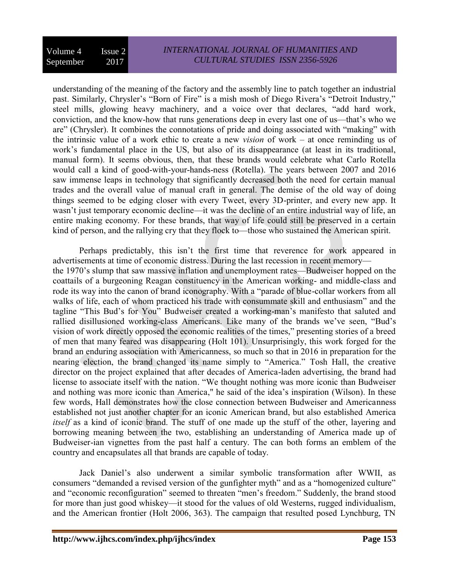understanding of the meaning of the factory and the assembly line to patch together an industrial past. Similarly, Chrysler's "Born of Fire" is a mish mosh of Diego Rivera's "Detroit Industry," steel mills, glowing heavy machinery, and a voice over that declares, "add hard work, conviction, and the know-how that runs generations deep in every last one of us—that's who we are" (Chrysler). It combines the connotations of pride and doing associated with "making" with the intrinsic value of a work ethic to create a new *vision* of work – at once reminding us of work's fundamental place in the US, but also of its disappearance (at least in its traditional, manual form). It seems obvious, then, that these brands would celebrate what Carlo Rotella would call a kind of good-with-your-hands-ness (Rotella). The years between 2007 and 2016 saw immense leaps in technology that significantly decreased both the need for certain manual trades and the overall value of manual craft in general. The demise of the old way of doing things seemed to be edging closer with every Tweet, every 3D-printer, and every new app. It wasn't just temporary economic decline—it was the decline of an entire industrial way of life, an entire making economy. For these brands, that way of life could still be preserved in a certain kind of person, and the rallying cry that they flock to—those who sustained the American spirit.

Perhaps predictably, this isn't the first time that reverence for work appeared in advertisements at time of economic distress. During the last recession in recent memory the 1970's slump that saw massive inflation and unemployment rates—Budweiser hopped on the coattails of a burgeoning Reagan constituency in the American working- and middle-class and rode its way into the canon of brand iconography. With a "parade of blue-collar workers from all walks of life, each of whom practiced his trade with consummate skill and enthusiasm" and the tagline "This Bud's for You" Budweiser created a working-man's manifesto that saluted and rallied disillusioned working-class Americans. Like many of the brands we've seen, "Bud's vision of work directly opposed the economic realities of the times," presenting stories of a breed of men that many feared was disappearing (Holt 101). Unsurprisingly, this work forged for the brand an enduring association with Americanness, so much so that in 2016 in preparation for the nearing election, the brand changed its name simply to "America." Tosh Hall, the creative director on the project explained that after decades of America-laden advertising, the brand had license to associate itself with the nation. "We thought nothing was more iconic than Budweiser and nothing was more iconic than America," he said of the idea's inspiration (Wilson). In these few words, Hall demonstrates how the close connection between Budweiser and Americanness established not just another chapter for an iconic American brand, but also established America *itself* as a kind of iconic brand. The stuff of one made up the stuff of the other, layering and borrowing meaning between the two, establishing an understanding of America made up of Budweiser-ian vignettes from the past half a century. The can both forms an emblem of the country and encapsulates all that brands are capable of today.

Jack Daniel's also underwent a similar symbolic transformation after WWII, as consumers "demanded a revised version of the gunfighter myth" and as a "homogenized culture" and "economic reconfiguration" seemed to threaten "men's freedom." Suddenly, the brand stood for more than just good whiskey—it stood for the values of old Westerns, rugged individualism, and the American frontier (Holt 2006, 363). The campaign that resulted posed Lynchburg, TN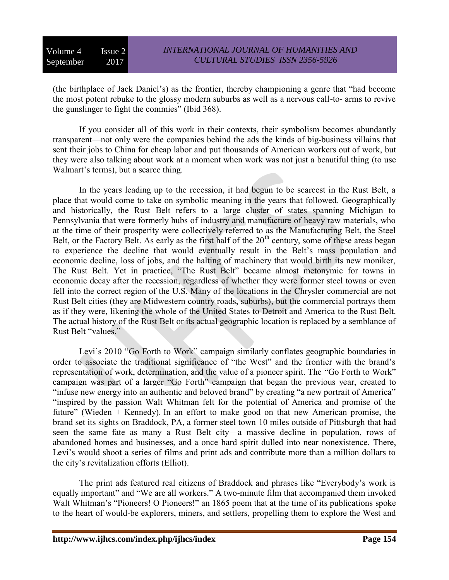(the birthplace of Jack Daniel's) as the frontier, thereby championing a genre that "had become the most potent rebuke to the glossy modern suburbs as well as a nervous call-to- arms to revive the gunslinger to fight the commies" (Ibid 368).

If you consider all of this work in their contexts, their symbolism becomes abundantly transparent—not only were the companies behind the ads the kinds of big-business villains that sent their jobs to China for cheap labor and put thousands of American workers out of work, but they were also talking about work at a moment when work was not just a beautiful thing (to use Walmart's terms), but a scarce thing.

In the years leading up to the recession, it had begun to be scarcest in the Rust Belt, a place that would come to take on symbolic meaning in the years that followed. Geographically and historically, the Rust Belt refers to a large cluster of states spanning Michigan to Pennsylvania that were formerly hubs of industry and manufacture of heavy raw materials, who at the time of their prosperity were collectively referred to as the Manufacturing Belt, the Steel Belt, or the Factory Belt. As early as the first half of the  $20<sup>th</sup>$  century, some of these areas began to experience the decline that would eventually result in the Belt's mass population and economic decline, loss of jobs, and the halting of machinery that would birth its new moniker, The Rust Belt. Yet in practice, "The Rust Belt" became almost metonymic for towns in economic decay after the recession, regardless of whether they were former steel towns or even fell into the correct region of the U.S. Many of the locations in the Chrysler commercial are not Rust Belt cities (they are Midwestern country roads, suburbs), but the commercial portrays them as if they were, likening the whole of the United States to Detroit and America to the Rust Belt. The actual history of the Rust Belt or its actual geographic location is replaced by a semblance of Rust Belt "values."

Levi's 2010 "Go Forth to Work" campaign similarly conflates geographic boundaries in order to associate the traditional significance of "the West" and the frontier with the brand's representation of work, determination, and the value of a pioneer spirit. The "Go Forth to Work" campaign was part of a larger "Go Forth" campaign that began the previous year, created to "infuse new energy into an authentic and beloved brand" by creating "a new portrait of America" "inspired by the passion Walt Whitman felt for the potential of America and promise of the future" (Wieden + Kennedy). In an effort to make good on that new American promise, the brand set its sights on Braddock, PA, a former steel town 10 miles outside of Pittsburgh that had seen the same fate as many a Rust Belt city—a massive decline in population, rows of abandoned homes and businesses, and a once hard spirit dulled into near nonexistence. There, Levi's would shoot a series of films and print ads and contribute more than a million dollars to the city's revitalization efforts (Elliot).

The print ads featured real citizens of Braddock and phrases like "Everybody's work is equally important" and "We are all workers." A two-minute film that accompanied them invoked Walt Whitman's "Pioneers! O Pioneers!" an 1865 poem that at the time of its publications spoke to the heart of would-be explorers, miners, and settlers, propelling them to explore the West and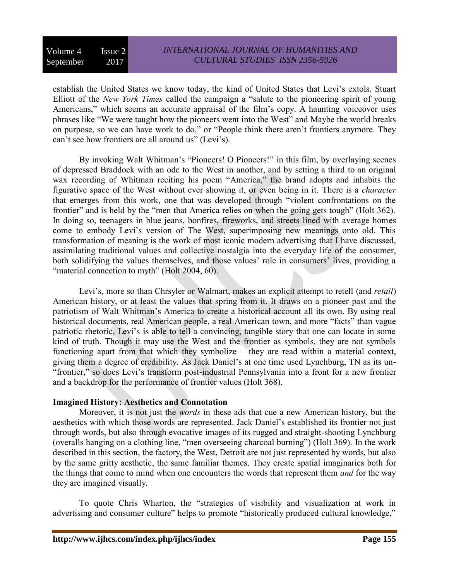establish the United States we know today, the kind of United States that Levi's extols. Stuart Elliott of the *New York Times* called the campaign a "salute to the pioneering spirit of young Americans," which seems an accurate appraisal of the film's copy. A haunting voiceover uses phrases like "We were taught how the pioneers went into the West" and Maybe the world breaks on purpose, so we can have work to do," or "People think there aren't frontiers anymore. They can't see how frontiers are all around us" (Levi's).

By invoking Walt Whitman's "Pioneers! O Pioneers!" in this film, by overlaying scenes of depressed Braddock with an ode to the West in another, and by setting a third to an original wax recording of Whitman reciting his poem "America," the brand adopts and inhabits the figurative space of the West without ever showing it, or even being in it. There is a *character* that emerges from this work, one that was developed through "violent confrontations on the frontier" and is held by the "men that America relies on when the going gets tough" (Holt 362). In doing so, teenagers in blue jeans, bonfires, fireworks, and streets lined with average homes come to embody Levi's version of The West, superimposing new meanings onto old. This transformation of meaning is the work of most iconic modern advertising that I have discussed, assimilating traditional values and collective nostalgia into the everyday life of the consumer, both solidifying the values themselves, and those values' role in consumers' lives, providing a "material connection to myth" (Holt 2004, 60).

Levi's, more so than Chrsyler or Walmart, makes an explicit attempt to retell (and *retail*) American history, or at least the values that spring from it. It draws on a pioneer past and the patriotism of Walt Whitman's America to create a historical account all its own. By using real historical documents, real American people, a real American town, and more "facts" than vague patriotic rhetoric, Levi's is able to tell a convincing, tangible story that one can locate in some kind of truth. Though it may use the West and the frontier as symbols, they are not symbols functioning apart from that which they symbolize – they are read within a material context, giving them a degree of credibility. As Jack Daniel's at one time used Lynchburg, TN as its un- "frontier," so does Levi's transform post-industrial Pennsylvania into a front for a new frontier and a backdrop for the performance of frontier values (Holt 368).

## **Imagined History: Aesthetics and Connotation**

Moreover, it is not just the *words* in these ads that cue a new American history, but the aesthetics with which those words are represented. Jack Daniel's established its frontier not just through words, but also through evocative images of its rugged and straight-shooting Lynchburg (overalls hanging on a clothing line, "men overseeing charcoal burning") (Holt 369). In the work described in this section, the factory, the West, Detroit are not just represented by words, but also by the same gritty aesthetic, the same familiar themes. They create spatial imaginaries both for the things that come to mind when one encounters the words that represent them *and* for the way they are imagined visually.

To quote Chris Wharton, the "strategies of visibility and visualization at work in advertising and consumer culture" helps to promote "historically produced cultural knowledge,"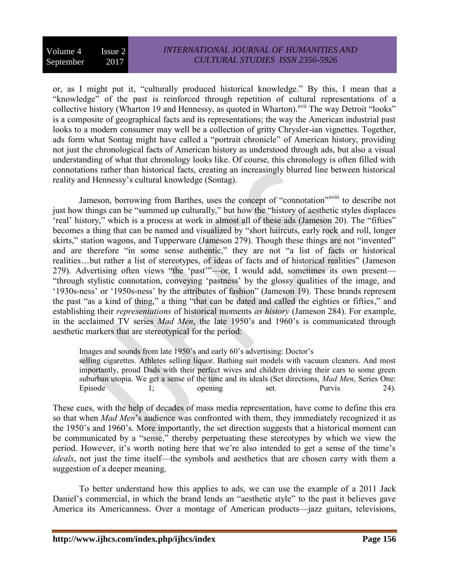or, as I might put it, "culturally produced historical knowledge." By this, I mean that a "knowledge" of the past is reinforced through repetition of cultural representations of a collective history (Wharton 19 and Hennessy, as quoted in Wharton).<sup>xvii</sup> The way Detroit "looks" is a composite of geographical facts and its representations; the way the American industrial past looks to a modern consumer may well be a collection of gritty Chrysler-ian vignettes. Together, ads form what Sontag might have called a "portrait chronicle" of American history, providing not just the chronological facts of American history as understood through ads, but also a visual understanding of what that chronology looks like. Of course, this chronology is often filled with connotations rather than historical facts, creating an increasingly blurred line between historical reality and Hennessy's cultural knowledge (Sontag).

Jameson, borrowing from Barthes, uses the concept of "connotation"<sup>xviii</sup> to describe not just how things can be "summed up culturally," but how the "history of aesthetic styles displaces 'real' history," which is a process at work in almost all of these ads (Jameson 20). The "fifties" becomes a thing that can be named and visualized by "short haircuts, early rock and roll, longer skirts," station wagons, and Tupperware (Jameson 279). Though these things are not "invented" and are therefore "in some sense authentic," they are not "a list of facts or historical realities…but rather a list of stereotypes, of ideas of facts and of historical realities" (Jameson 279). Advertising often views "the 'past'"—or, I would add, sometimes its own present— "through stylistic connotation, conveying 'pastness' by the glossy qualities of the image, and '1930s-ness' or '1950s-ness' by the attributes of fashion" (Jameson 19). These brands represent the past "as a kind of thing," a thing "that can be dated and called the eighties or fifties," and establishing their *representations* of historical moments *as history* (Jameson 284). For example, in the acclaimed TV series *Mad Men*, the late 1950's and 1960's is communicated through aesthetic markers that are stereotypical for the period:

Images and sounds from late 1950's and early 60's advertising: Doctor's

selling cigarettes. Athletes selling liquor. Bathing suit models with vacuum cleaners. And most importantly, proud Dads with their perfect wives and children driving their cars to some green suburban utopia. We get a sense of the time and its ideals (Set directions, *Mad Men*, Series One: Episode 1; opening set. Purvis 24).

These cues, with the help of decades of mass media representation, have come to define this era so that when *Mad Men*'s audience was confronted with them, they immediately recognized it as the 1950's and 1960's. More importantly, the set direction suggests that a historical moment can be communicated by a "sense," thereby perpetuating these stereotypes by which we view the period. However, it's worth noting here that we're also intended to get a sense of the time's *ideals*, not just the time itself—the symbols and aesthetics that are chosen carry with them a suggestion of a deeper meaning.

To better understand how this applies to ads, we can use the example of a 2011 Jack Daniel's commercial, in which the brand lends an "aesthetic style" to the past it believes gave America its Americanness. Over a montage of American products—jazz guitars, televisions,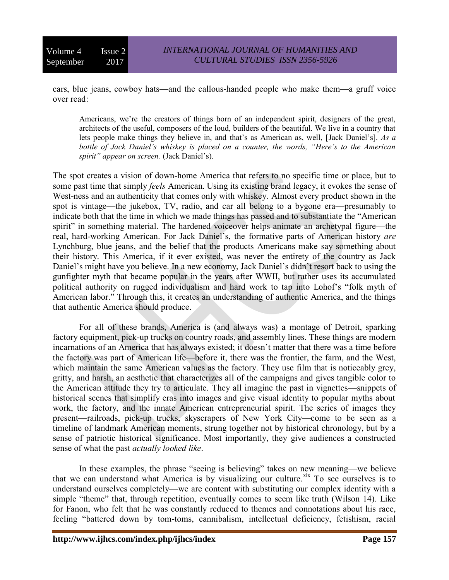cars, blue jeans, cowboy hats—and the callous-handed people who make them—a gruff voice over read:

Americans, we're the creators of things born of an independent spirit, designers of the great, architects of the useful, composers of the loud, builders of the beautiful. We live in a country that lets people make things they believe in, and that's as American as, well, [Jack Daniel's]. *As a bottle of Jack Daniel's whiskey is placed on a counter, the words, "Here's to the American spirit" appear on screen.* (Jack Daniel's).

The spot creates a vision of down-home America that refers to no specific time or place, but to some past time that simply *feels* American. Using its existing brand legacy, it evokes the sense of West-ness and an authenticity that comes only with whiskey. Almost every product shown in the spot is vintage—the jukebox, TV, radio, and car all belong to a bygone era—presumably to indicate both that the time in which we made things has passed and to substantiate the "American spirit" in something material. The hardened voiceover helps animate an archetypal figure—the real, hard-working American. For Jack Daniel's, the formative parts of American history *are* Lynchburg, blue jeans, and the belief that the products Americans make say something about their history. This America, if it ever existed, was never the entirety of the country as Jack Daniel's might have you believe. In a new economy, Jack Daniel's didn't resort back to using the gunfighter myth that became popular in the years after WWII, but rather uses its accumulated political authority on rugged individualism and hard work to tap into Lohof's "folk myth of American labor." Through this, it creates an understanding of authentic America, and the things that authentic America should produce.

For all of these brands, America is (and always was) a montage of Detroit, sparking factory equipment, pick-up trucks on country roads, and assembly lines. These things are modern incarnations of an America that has always existed; it doesn't matter that there was a time before the factory was part of American life—before it, there was the frontier, the farm, and the West, which maintain the same American values as the factory. They use film that is noticeably grey, gritty, and harsh, an aesthetic that characterizes all of the campaigns and gives tangible color to the American attitude they try to articulate. They all imagine the past in vignettes—snippets of historical scenes that simplify eras into images and give visual identity to popular myths about work, the factory, and the innate American entrepreneurial spirit. The series of images they present—railroads, pick-up trucks, skyscrapers of New York City—come to be seen as a timeline of landmark American moments, strung together not by historical chronology, but by a sense of patriotic historical significance. Most importantly, they give audiences a constructed sense of what the past *actually looked like*.

In these examples, the phrase "seeing is believing" takes on new meaning—we believe that we can understand what America is by visualizing our culture.<sup>xix</sup> To see ourselves is to understand ourselves completely—we are content with substituting our complex identity with a simple "theme" that, through repetition, eventually comes to seem like truth (Wilson 14). Like for Fanon, who felt that he was constantly reduced to themes and connotations about his race, feeling "battered down by tom-toms, cannibalism, intellectual deficiency, fetishism, racial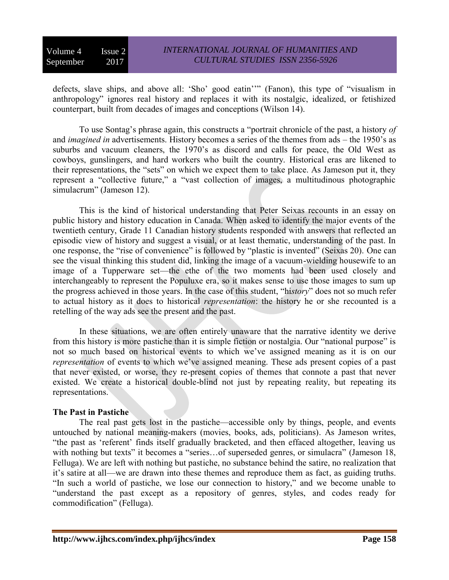defects, slave ships, and above all: 'Sho' good eatin''" (Fanon), this type of "visualism in anthropology" ignores real history and replaces it with its nostalgic, idealized, or fetishized counterpart, built from decades of images and conceptions (Wilson 14).

To use Sontag's phrase again, this constructs a "portrait chronicle of the past, a history *of*  and *imagined in* advertisements. History becomes a series of the themes from ads – the 1950's as suburbs and vacuum cleaners, the 1970's as discord and calls for peace, the Old West as cowboys, gunslingers, and hard workers who built the country. Historical eras are likened to their representations, the "sets" on which we expect them to take place. As Jameson put it, they represent a "collective future," a "vast collection of images, a multitudinous photographic simulacrum" (Jameson 12).

This is the kind of historical understanding that Peter Seixas recounts in an essay on public history and history education in Canada. When asked to identify the major events of the twentieth century, Grade 11 Canadian history students responded with answers that reflected an episodic view of history and suggest a visual, or at least thematic, understanding of the past. In one response, the "rise of convenience" is followed by "plastic is invented" (Seixas 20). One can see the visual thinking this student did, linking the image of a vacuum-wielding housewife to an image of a Tupperware set—the ethe of the two moments had been used closely and interchangeably to represent the Populuxe era, so it makes sense to use those images to sum up the progress achieved in those years. In the case of this student, "hi*story*" does not so much refer to actual history as it does to historical *representation*: the history he or she recounted is a retelling of the way ads see the present and the past.

In these situations, we are often entirely unaware that the narrative identity we derive from this history is more pastiche than it is simple fiction or nostalgia. Our "national purpose" is not so much based on historical events to which we've assigned meaning as it is on our *representation* of events to which we've assigned meaning. These ads present copies of a past that never existed, or worse, they re-present copies of themes that connote a past that never existed. We create a historical double-blind not just by repeating reality, but repeating its representations.

## **The Past in Pastiche**

The real past gets lost in the pastiche—accessible only by things, people, and events untouched by national meaning-makers (movies, books, ads, politicians). As Jameson writes, "the past as 'referent' finds itself gradually bracketed, and then effaced altogether, leaving us with nothing but texts" it becomes a "series... of superseded genres, or simulacra" (Jameson 18, Felluga). We are left with nothing but pastiche, no substance behind the satire, no realization that it's satire at all—we are drawn into these themes and reproduce them as fact, as guiding truths. "In such a world of pastiche, we lose our connection to history," and we become unable to "understand the past except as a repository of genres, styles, and codes ready for commodification" (Felluga).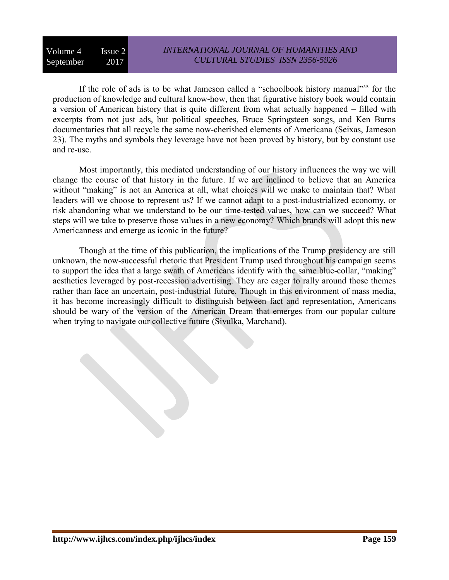If the role of ads is to be what Jameson called a "schoolbook history manual"xx for the production of knowledge and cultural know-how, then that figurative history book would contain a version of American history that is quite different from what actually happened – filled with excerpts from not just ads, but political speeches, Bruce Springsteen songs, and Ken Burns documentaries that all recycle the same now-cherished elements of Americana (Seixas, Jameson 23). The myths and symbols they leverage have not been proved by history, but by constant use and re-use.

Most importantly, this mediated understanding of our history influences the way we will change the course of that history in the future. If we are inclined to believe that an America without "making" is not an America at all, what choices will we make to maintain that? What leaders will we choose to represent us? If we cannot adapt to a post-industrialized economy, or risk abandoning what we understand to be our time-tested values, how can we succeed? What steps will we take to preserve those values in a new economy? Which brands will adopt this new Americanness and emerge as iconic in the future?

Though at the time of this publication, the implications of the Trump presidency are still unknown, the now-successful rhetoric that President Trump used throughout his campaign seems to support the idea that a large swath of Americans identify with the same blue-collar, "making" aesthetics leveraged by post-recession advertising. They are eager to rally around those themes rather than face an uncertain, post-industrial future. Though in this environment of mass media, it has become increasingly difficult to distinguish between fact and representation, Americans should be wary of the version of the American Dream that emerges from our popular culture when trying to navigate our collective future (Sivulka, Marchand).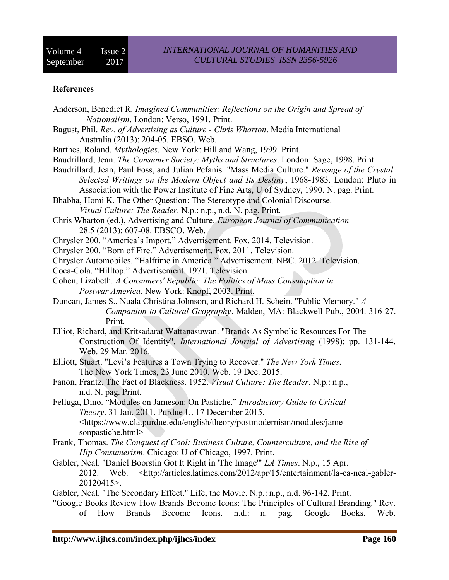## **References**

| Anderson, Benedict R. Imagined Communities: Reflections on the Origin and Spread of                                                         |                                  |
|---------------------------------------------------------------------------------------------------------------------------------------------|----------------------------------|
| Nationalism. London: Verso, 1991. Print.                                                                                                    |                                  |
| Bagust, Phil. Rev. of Advertising as Culture - Chris Wharton. Media International                                                           |                                  |
| Australia (2013): 204-05. EBSO. Web.                                                                                                        |                                  |
| Barthes, Roland. Mythologies. New York: Hill and Wang, 1999. Print.                                                                         |                                  |
| Baudrillard, Jean. The Consumer Society: Myths and Structures. London: Sage, 1998. Print.                                                   |                                  |
| Baudrillard, Jean, Paul Foss, and Julian Pefanis. "Mass Media Culture." Revenge of the Crystal:                                             |                                  |
| Selected Writings on the Modern Object and Its Destiny, 1968-1983. London: Pluto in                                                         |                                  |
| Association with the Power Institute of Fine Arts, U of Sydney, 1990. N. pag. Print.                                                        |                                  |
| Bhabha, Homi K. The Other Question: The Stereotype and Colonial Discourse.                                                                  |                                  |
| <i>Visual Culture: The Reader. N.p.: n.p., n.d. N. pag. Print.</i>                                                                          |                                  |
| Chris Wharton (ed.), Advertising and Culture. European Journal of Communication                                                             |                                  |
| 28.5 (2013): 607-08. EBSCO. Web.                                                                                                            |                                  |
| Chrysler 200. "America's Import." Advertisement. Fox. 2014. Television.                                                                     |                                  |
| Chrysler 200. "Born of Fire." Advertisement. Fox. 2011. Television.                                                                         |                                  |
| Chrysler Automobiles. "Halftime in America." Advertisement. NBC. 2012. Television.                                                          |                                  |
| Coca-Cola. "Hilltop." Advertisement. 1971. Television.                                                                                      |                                  |
| Cohen, Lizabeth. A Consumers' Republic: The Politics of Mass Consumption in                                                                 |                                  |
| Postwar America. New York: Knopf, 2003. Print.                                                                                              |                                  |
| Duncan, James S., Nuala Christina Johnson, and Richard H. Schein. "Public Memory." A                                                        |                                  |
| Companion to Cultural Geography. Malden, MA: Blackwell Pub., 2004. 316-27.                                                                  |                                  |
| Print.                                                                                                                                      |                                  |
| Elliot, Richard, and Kritsadarat Wattanasuwan. "Brands As Symbolic Resources For The                                                        |                                  |
| Construction Of Identity". International Journal of Advertising (1998): pp. 131-144.                                                        |                                  |
| Web. 29 Mar. 2016.                                                                                                                          |                                  |
| Elliott, Stuart. "Levi's Features a Town Trying to Recover." The New York Times.                                                            |                                  |
| The New York Times, 23 June 2010. Web. 19 Dec. 2015.<br>Fanon, Frantz. The Fact of Blackness. 1952. Visual Culture: The Reader. N.p.: n.p., |                                  |
|                                                                                                                                             |                                  |
| n.d. N. pag. Print.                                                                                                                         |                                  |
| Felluga, Dino. "Modules on Jameson: On Pastiche." Introductory Guide to Critical<br>Theory. 31 Jan. 2011. Purdue U. 17 December 2015.       |                                  |
| <https: english="" jame<="" modules="" postmodernism="" td="" theory="" www.cla.purdue.edu=""><td></td></https:>                            |                                  |
| sonpastiche.html>                                                                                                                           |                                  |
| Frank, Thomas. The Conquest of Cool: Business Culture, Counterculture, and the Rise of                                                      |                                  |
| Hip Consumerism. Chicago: U of Chicago, 1997. Print.                                                                                        |                                  |
| Gabler, Neal. "Daniel Boorstin Got It Right in 'The Image'" LA Times. N.p., 15 Apr.                                                         |                                  |
| <http: 15="" 2012="" apr="" articles.latimes.com="" entertainment="" la-ca-neal-gabler-<br="">2012. Web.</http:>                            |                                  |
| 20120415>.                                                                                                                                  |                                  |
| Gabler, Neal. "The Secondary Effect." Life, the Movie. N.p.: n.p., n.d. 96-142. Print.                                                      |                                  |
| "Google Books Review How Brands Become Icons: The Principles of Cultural Branding." Rev.                                                    |                                  |
| How<br>Become<br>of<br><b>Brands</b><br>Icons.<br>$n.d.$ :<br>n.                                                                            | Google<br>Books.<br>Web.<br>pag. |
|                                                                                                                                             |                                  |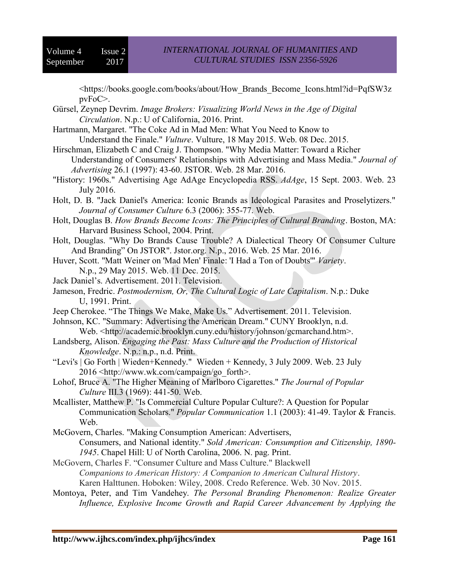<https://books.google.com/books/about/How\_Brands\_Become\_Icons.html?id=PqfSW3z pvFoC>.

- Gürsel, Zeynep Devrim. *Image Brokers: Visualizing World News in the Age of Digital Circulation*. N.p.: U of California, 2016. Print.
- Hartmann, Margaret. "The Coke Ad in Mad Men: What You Need to Know to Understand the Finale." *Vulture*. Vulture, 18 May 2015. Web. 08 Dec. 2015.
- Hirschman, Elizabeth C and Craig J. Thompson. "Why Media Matter: Toward a Richer Understanding of Consumers' Relationships with Advertising and Mass Media." *Journal of Advertising* 26.1 (1997): 43-60. JSTOR. Web. 28 Mar. 2016.
- "History: 1960s." Advertising Age AdAge Encyclopedia RSS. *AdAge*, 15 Sept. 2003. Web. 23 July 2016.
- Holt, D. B. "Jack Daniel's America: Iconic Brands as Ideological Parasites and Proselytizers." *Journal of Consumer Culture* 6.3 (2006): 355-77. Web.
- Holt, Douglas B. *How Brands Become Icons: The Principles of Cultural Branding*. Boston, MA: Harvard Business School, 2004. Print.
- Holt, Douglas. "Why Do Brands Cause Trouble? A Dialectical Theory Of Consumer Culture And Branding" On JSTOR". Jstor.org. N.p., 2016. Web. 25 Mar. 2016.
- Huver, Scott. "Matt Weiner on 'Mad Men' Finale: 'I Had a Ton of Doubts'" *Variety*. N.p., 29 May 2015. Web. 11 Dec. 2015.
- Jack Daniel's. Advertisement. 2011. Television.
- Jameson, Fredric. *Postmodernism, Or, The Cultural Logic of Late Capitalism*. N.p.: Duke U, 1991. Print.
- Jeep Cherokee. "The Things We Make, Make Us." Advertisement. 2011. Television.
- Johnson, KC. "Summary: Advertising the American Dream." CUNY Brooklyn, n.d.
	- Web. <http://academic.brooklyn.cuny.edu/history/johnson/gcmarchand.htm>.
- Landsberg, Alison. *Engaging the Past: Mass Culture and the Production of Historical Knowledge*. N.p.: n.p., n.d. Print.
- "Levi's | Go Forth | Wieden+Kennedy." Wieden + Kennedy, 3 July 2009. Web. 23 July 2016 <http://www.wk.com/campaign/go\_forth>.
- Lohof, Bruce A. "The Higher Meaning of Marlboro Cigarettes." *The Journal of Popular Culture* III.3 (1969): 441-50. Web.
- Mcallister, Matthew P. "Is Commercial Culture Popular Culture?: A Question for Popular Communication Scholars." *Popular Communication* 1.1 (2003): 41-49. Taylor & Francis. Web.
- McGovern, Charles. "Making Consumption American: Advertisers, Consumers, and National identity." *Sold American: Consumption and Citizenship, 1890- 1945*. Chapel Hill: U of North Carolina, 2006. N. pag. Print.
- McGovern, Charles F. "Consumer Culture and Mass Culture." Blackwell *Companions to American History: A Companion to American Cultural History*. Karen Halttunen. Hoboken: Wiley, 2008. Credo Reference. Web. 30 Nov. 2015.
- Montoya, Peter, and Tim Vandehey. *The Personal Branding Phenomenon: Realize Greater Influence, Explosive Income Growth and Rapid Career Advancement by Applying the*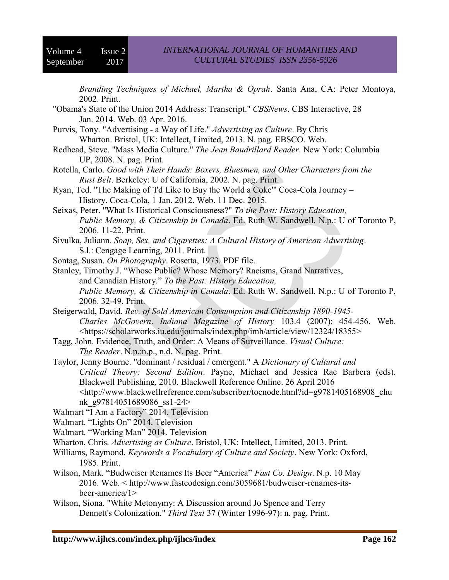*Branding Techniques of Michael, Martha & Oprah*. Santa Ana, CA: Peter Montoya, 2002. Print.

- "Obama's State of the Union 2014 Address: Transcript." *CBSNews*. CBS Interactive, 28 Jan. 2014. Web. 03 Apr. 2016.
- Purvis, Tony. "Advertising a Way of Life." *Advertising as Culture*. By Chris Wharton. Bristol, UK: Intellect, Limited, 2013. N. pag. EBSCO. Web.
- Redhead, Steve. "Mass Media Culture." *The Jean Baudrillard Reader*. New York: Columbia UP, 2008. N. pag. Print.
- Rotella, Carlo. *Good with Their Hands: Boxers, Bluesmen, and Other Characters from the Rust Belt*. Berkeley: U of California, 2002. N. pag. Print.
- Ryan, Ted. "The Making of 'I'd Like to Buy the World a Coke'" Coca-Cola Journey History. Coca-Cola, 1 Jan. 2012. Web. 11 Dec. 2015.
- Seixas, Peter. "What Is Historical Consciousness?" *To the Past: History Education, Public Memory, & Citizenship in Canada*. Ed. Ruth W. Sandwell. N.p.: U of Toronto P, 2006. 11-22. Print.
- Sivulka, Juliann. *Soap, Sex, and Cigarettes: A Cultural History of American Advertising*. S.l.: Cengage Learning, 2011. Print.
- Sontag, Susan. *On Photography*. Rosetta, 1973. PDF file.

Stanley, Timothy J. "Whose Public? Whose Memory? Racisms, Grand Narratives, and Canadian History." *To the Past: History Education, Public Memory, & Citizenship in Canada*. Ed. Ruth W. Sandwell. N.p.: U of Toronto P, 2006. 32-49. Print.

- Steigerwald, David. *Rev. of Sold American Consumption and Citizenship 1890-1945- Charles McGovern*. *Indiana Magazine of History* 103.4 (2007): 454-456. Web. <https://scholarworks.iu.edu/journals/index.php/imh/article/view/12324/18355>
- Tagg, John. Evidence, Truth, and Order: A Means of Surveillance. *Visual Culture: The Reader*. N.p.:n.p., n.d. N. pag. Print.
- Taylor, Jenny Bourne. "dominant / residual / emergent." A *Dictionary of Cultural and Critical Theory: Second Edition*. Payne, Michael and Jessica Rae Barbera (eds). Blackwell Publishing, 2010. Blackwell Reference Online. 26 April 2016 <http://www.blackwellreference.com/subscriber/tocnode.html?id=g9781405168908\_chu nk\_g97814051689086\_ss1-24>

Walmart "I Am a Factory" 2014. Television

- Walmart. "Lights On" 2014. Television
- Walmart. "Working Man" 2014. Television
- Wharton, Chris. *Advertising as Culture*. Bristol, UK: Intellect, Limited, 2013. Print.
- Williams, Raymond. *Keywords a Vocabulary of Culture and Society*. New York: Oxford, 1985. Print.
- Wilson, Mark. "Budweiser Renames Its Beer "America" *Fast Co. Design*. N.p. 10 May 2016. Web. < http://www.fastcodesign.com/3059681/budweiser-renames-itsbeer-america/1>
- Wilson, Siona. "White Metonymy: A Discussion around Jo Spence and Terry Dennett's Colonization." *Third Text* 37 (Winter 1996-97): n. pag. Print.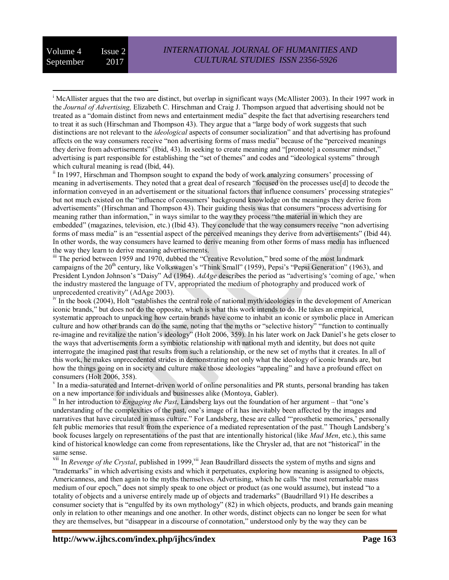<sup>ii</sup> In 1997, Hirschman and Thompson sought to expand the body of work analyzing consumers' processing of meaning in advertisements. They noted that a great deal of research "focused on the processes use[d] to decode the information conveyed in an advertisement or the situational factors that influence consumers' processing strategies" but not much existed on the "influence of consumers' background knowledge on the meanings they derive from advertisements" (Hirschman and Thompson 43). Their guiding thesis was that consumers "process advertising for meaning rather than information," in ways similar to the way they process "the material in which they are embedded" (magazines, television, etc.) (Ibid 43). They conclude that the way consumers receive "non advertising forms of mass media" is an "essential aspect of the perceived meanings they derive from advertisements" (Ibid 44). In other words, the way consumers have learned to derive meaning from other forms of mass media has influenced the way they learn to derive meaning advertisements.

iii The period between 1959 and 1970, dubbed the "Creative Revolution," bred some of the most landmark campaigns of the 20<sup>th</sup> century, like Volkswagen's "Think Small" (1959), Pepsi's "Pepsi Generation" (1963), and President Lyndon Johnson's "Daisy" Ad (1964). *AdAge* describes the period as "advertising's 'coming of age,' when the industry mastered the language of TV, appropriated the medium of photography and produced work of unprecedented creativity" (AdAge 2003).

iv In the book (2004), Holt "establishes the central role of national myth/ideologies in the development of American iconic brands," but does not do the opposite, which is what this work intends to do. He takes an empirical, systematic approach to unpacking how certain brands have come to inhabit an iconic or symbolic place in American culture and how other brands can do the same, noting that the myths or "selective history" "function to continually re-imagine and revitalize the nation's ideology" (Holt 2006, 359). In his later work on Jack Daniel's he gets closer to the ways that advertisements form a symbiotic relationship with national myth and identity, but does not quite interrogate the imagined past that results from such a relationship, or the new set of myths that it creates. In all of this work, he makes unprecedented strides in demonstrating not only what the ideology of iconic brands are, but how the things going on in society and culture make those ideologies "appealing" and have a profound effect on consumers (Holt 2006, 358).

v In a media-saturated and Internet-driven world of online personalities and PR stunts, personal branding has taken on a new importance for individuals and businesses alike (Montoya, Gabler).

vi In her introduction to *Engaging the Past*, Landsberg lays out the foundation of her argument – that "one's understanding of the complexities of the past, one's image of it has inevitably been affected by the images and narratives that have circulated in mass culture." For Landsberg, these are called "'prosthetic memories,' personally felt public memories that result from the experience of a mediated representation of the past." Though Landsberg's book focuses largely on representations of the past that are intentionally historical (like *Mad Men*, etc.), this same kind of historical knowledge can come from representations, like the Chrysler ad, that are not "historical" in the same sense.

vii In *Revenge of the Crystal*, published in 1999,<sup>vii</sup> Jean Baudrillard dissects the system of myths and signs and "trademarks" in which advertising exists and which it perpetuates, exploring how meaning is assigned to objects, Americanness, and then again to the myths themselves. Advertising, which he calls "the most remarkable mass medium of our epoch," does not simply speak to one object or product (as one would assume), but instead "to a totality of objects and a universe entirely made up of objects and trademarks" (Baudrillard 91) He describes a consumer society that is "engulfed by its own mythology" (82) in which objects, products, and brands gain meaning only in relation to other meanings and one another. In other words, distinct objects can no longer be seen for what they are themselves, but "disappear in a discourse of connotation," understood only by the way they can be

 $\overline{a}$ <sup>i</sup> McAllister argues that the two are distinct, but overlap in significant ways (McAllister 2003). In their 1997 work in the *Journal of Advertising,* Elizabeth C. Hirschman and Craig J. Thompson argued that advertising should not be treated as a "domain distinct from news and entertainment media" despite the fact that advertising researchers tend to treat it as such (Hirschman and Thompson 43). They argue that a "large body of work suggests that such distinctions are not relevant to the *ideological* aspects of consumer socialization" and that advertising has profound affects on the way consumers receive "non advertising forms of mass media" because of the "perceived meanings they derive from advertisements" (Ibid, 43). In seeking to create meaning and "[promote] a consumer mindset," advertising is part responsible for establishing the "set of themes" and codes and "ideological systems" through which cultural meaning is read (Ibid, 44).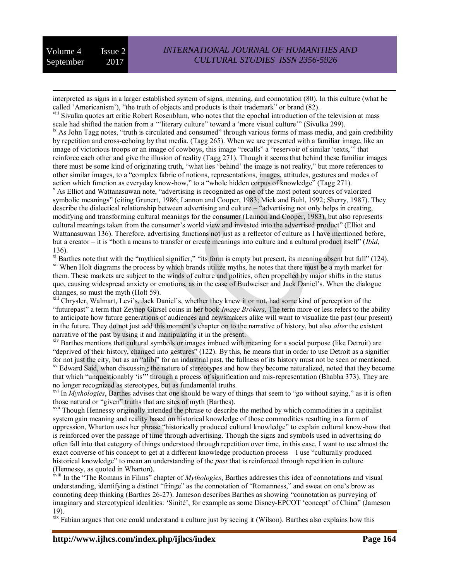$\overline{a}$ 

interpreted as signs in a larger established system of signs, meaning, and connotation (80). In this culture (what he called 'Americanism'), "the truth of objects and products is their trademark" or brand (82).

<sup>viii</sup> Sivulka quotes art critic Robert Rosenblum, who notes that the epochal introduction of the television at mass scale had shifted the nation from a '"literary culture" toward a 'more visual culture'" (Sivulka 299). <sup>ix</sup> As John Tagg notes, "truth is circulated and consumed" through various forms of mass media, and gain credibility by repetition and cross-echoing by that media. (Tagg 265). When we are presented with a familiar image, like an image of victorious troops or an image of cowboys, this image "recalls" a "reservoir of similar 'texts,'" that reinforce each other and give the illusion of reality (Tagg 271). Though it seems that behind these familiar images there must be some kind of originating truth, "what lies 'behind' the image is not reality," but more references to other similar images, to a "complex fabric of notions, representations, images, attitudes, gestures and modes of

action which function as everyday know-how," to a "whole hidden corpus of knowledge" (Tagg 271). <sup>x</sup> As Elliot and Wattanasuwan note, "advertising is recognized as one of the most potent sources of valorized symbolic meanings" (citing Grunert, 1986; Lannon and Cooper, 1983; Mick and Buhl, 1992; Sherry, 1987). They describe the dialectical relationship between advertising and culture – "advertising not only helps in creating, modifying and transforming cultural meanings for the consumer (Lannon and Cooper, 1983), but also represents cultural meanings taken from the consumer's world view and invested into the advertised product" (Elliot and Wattanasuwan 136). Therefore, advertising functions not just as a reflector of culture as I have mentioned before, but a creator – it is "both a means to transfer or create meanings into culture and a cultural product itself" (*Ibid*, 136).

<sup>xi</sup> Barthes note that with the "mythical signifier," "its form is empty but present, its meaning absent but full" (124). <sup>xii</sup> When Holt diagrams the process by which brands utilize myths, he notes that there must be a myth market for them. These markets are subject to the winds of culture and politics, often propelled by major shifts in the status quo, causing widespread anxiety or emotions, as in the case of Budweiser and Jack Daniel's. When the dialogue changes, so must the myth (Holt 59).

xiii Chrysler, Walmart, Levi's, Jack Daniel's, whether they knew it or not, had some kind of perception of the "futurepast" a term that Zeynep Gürsel coins in her book *Image Brokers*. The term more or less refers to the ability to anticipate how future generations of audiences and newsmakers alike will want to visualize the past (our present) in the future. They do not just add this moment's chapter on to the narrative of history, but also *alter* the existent narrative of the past by using it and manipulating it in the present.

xiv Barthes mentions that cultural symbols or images imbued with meaning for a social purpose (like Detroit) are "deprived of their history, changed into gestures" (122). By this, he means that in order to use Detroit as a signifier for not just the city, but as an "alibi" for an industrial past, the fullness of its history must not be seen or mentioned. <sup>xv</sup> Edward Said, when discussing the nature of stereotypes and how they become naturalized, noted that they become that which "unquestionably 'is'" through a process of signification and mis-representation (Bhabha 373). They are no longer recognized as stereotypes, but as fundamental truths.

xvi In *Mythologies*, Barthes advises that one should be wary of things that seem to "go without saying," as it is often those natural or "given" truths that are sites of myth (Barthes).

xvii Though Hennessy originally intended the phrase to describe the method by which commodities in a capitalist system gain meaning and reality based on historical knowledge of those commodities resulting in a form of oppression, Wharton uses her phrase "historically produced cultural knowledge" to explain cultural know-how that is reinforced over the passage of time through advertising. Though the signs and symbols used in advertising do often fall into that category of things understood through repetition over time, in this case, I want to use almost the exact converse of his concept to get at a different knowledge production process—I use "culturally produced historical knowledge" to mean an understanding of the *past* that is reinforced through repetition in culture (Hennessy, as quoted in Wharton).

xviii In the "The Romans in Films" chapter of *Mythologies*, Barthes addresses this idea of connotations and visual understanding, identifying a distinct "fringe" as the connotation of "Romanness," and sweat on one's brow as connoting deep thinking (Barthes 26-27). Jameson describes Barthes as showing "connotation as purveying of imaginary and stereotypical idealities: 'Sinité', for example as some Disney-EPCOT 'concept' of China" (Jameson 19).

xix Fabian argues that one could understand a culture just by seeing it (Wilson). Barthes also explains how this